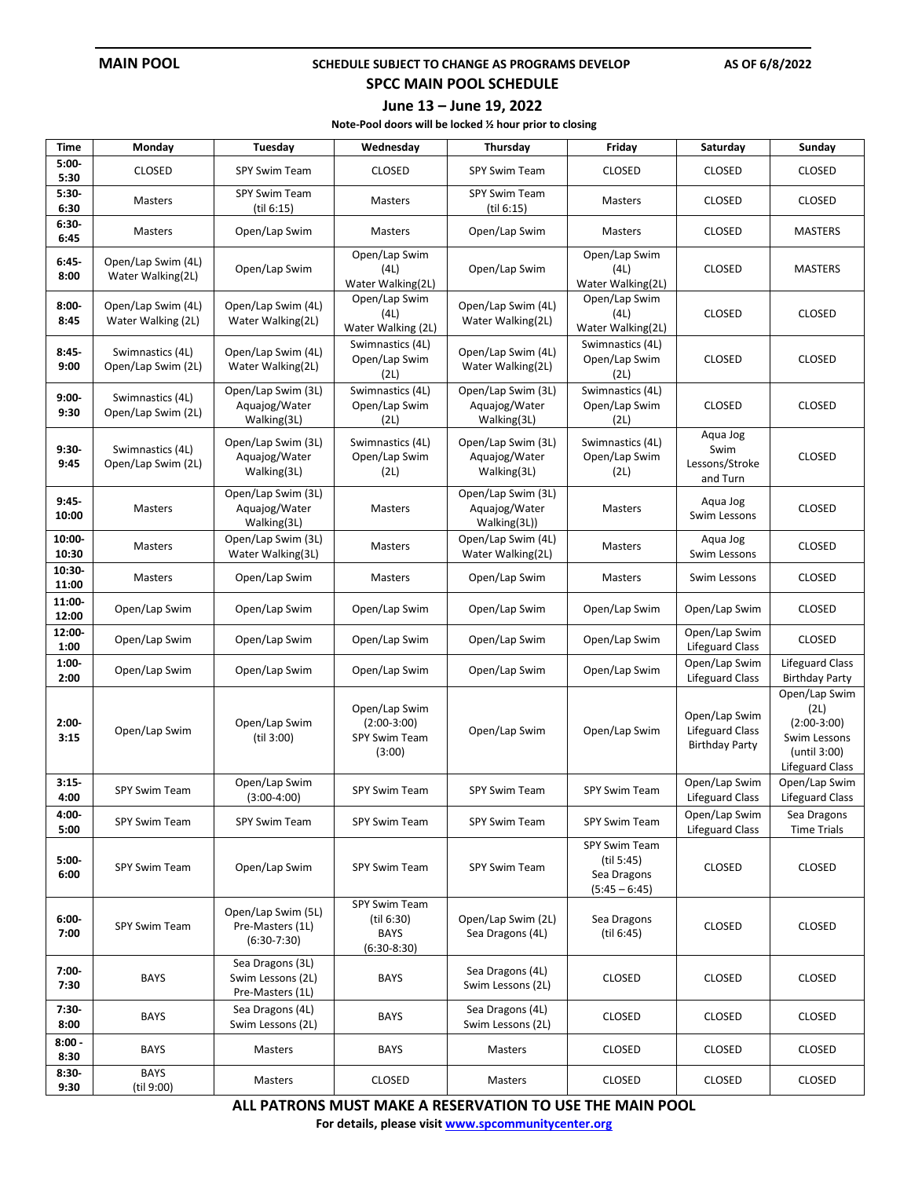#### **MAIN POOL SCHEDULE SUBJECT TO CHANGE AS PROGRAMS DEVELOP** AS OF 6/8/2022

### **SPCC MAIN POOL SCHEDULE**

#### **June 13 – June 19, 2022**

**Note-Pool doors will be locked ½ hour prior to closing**

| <b>Time</b>      | Monday                                   | Tuesday                                                   | Wednesday                                                        | Thursday                                            | Friday                                                        | Saturday                                                         | Sunday                                                                                           |
|------------------|------------------------------------------|-----------------------------------------------------------|------------------------------------------------------------------|-----------------------------------------------------|---------------------------------------------------------------|------------------------------------------------------------------|--------------------------------------------------------------------------------------------------|
| $5:00-$<br>5:30  | <b>CLOSED</b>                            | <b>SPY Swim Team</b>                                      | <b>CLOSED</b>                                                    | <b>SPY Swim Team</b>                                | <b>CLOSED</b>                                                 | <b>CLOSED</b>                                                    | <b>CLOSED</b>                                                                                    |
| $5:30-$<br>6:30  | Masters                                  | SPY Swim Team<br>(til 6:15)                               | Masters                                                          | SPY Swim Team<br>(til 6:15)                         | Masters                                                       | CLOSED                                                           | <b>CLOSED</b>                                                                                    |
| 6:30-<br>6:45    | Masters                                  | Open/Lap Swim                                             | <b>Masters</b>                                                   | Open/Lap Swim                                       | <b>Masters</b>                                                | <b>CLOSED</b>                                                    | <b>MASTERS</b>                                                                                   |
| $6:45-$<br>8:00  | Open/Lap Swim (4L)<br>Water Walking(2L)  | Open/Lap Swim                                             | Open/Lap Swim<br>(4L)<br>Water Walking(2L)                       | Open/Lap Swim                                       | Open/Lap Swim<br>(4L)<br>Water Walking(2L)                    | <b>CLOSED</b>                                                    | <b>MASTERS</b>                                                                                   |
| $8:00 -$<br>8:45 | Open/Lap Swim (4L)<br>Water Walking (2L) | Open/Lap Swim (4L)<br>Water Walking(2L)                   | Open/Lap Swim<br>(4L)<br>Water Walking (2L)                      | Open/Lap Swim (4L)<br>Water Walking(2L)             | Open/Lap Swim<br>(4L)<br>Water Walking(2L)                    | <b>CLOSED</b>                                                    | <b>CLOSED</b>                                                                                    |
| $8:45-$<br>9:00  | Swimnastics (4L)<br>Open/Lap Swim (2L)   | Open/Lap Swim (4L)<br>Water Walking(2L)                   | Swimnastics (4L)<br>Open/Lap Swim<br>(2L)                        | Open/Lap Swim (4L)<br>Water Walking(2L)             | Swimnastics (4L)<br>Open/Lap Swim<br>(2L)                     | <b>CLOSED</b>                                                    | <b>CLOSED</b>                                                                                    |
| $9:00-$<br>9:30  | Swimnastics (4L)<br>Open/Lap Swim (2L)   | Open/Lap Swim (3L)<br>Aquajog/Water<br>Walking(3L)        | Swimnastics (4L)<br>Open/Lap Swim<br>(2L)                        | Open/Lap Swim (3L)<br>Aquajog/Water<br>Walking(3L)  | Swimnastics (4L)<br>Open/Lap Swim<br>(2L)                     | <b>CLOSED</b>                                                    | <b>CLOSED</b>                                                                                    |
| $9:30-$<br>9:45  | Swimnastics (4L)<br>Open/Lap Swim (2L)   | Open/Lap Swim (3L)<br>Aquajog/Water<br>Walking(3L)        | Swimnastics (4L)<br>Open/Lap Swim<br>(2L)                        | Open/Lap Swim (3L)<br>Aquajog/Water<br>Walking(3L)  | Swimnastics (4L)<br>Open/Lap Swim<br>(2L)                     | Aqua Jog<br>Swim<br>Lessons/Stroke<br>and Turn                   | <b>CLOSED</b>                                                                                    |
| $9:45-$<br>10:00 | Masters                                  | Open/Lap Swim (3L)<br>Aquajog/Water<br>Walking(3L)        | Masters                                                          | Open/Lap Swim (3L)<br>Aquajog/Water<br>Walking(3L)) | <b>Masters</b>                                                | Aqua Jog<br>Swim Lessons                                         | <b>CLOSED</b>                                                                                    |
| 10:00-<br>10:30  | Masters                                  | Open/Lap Swim (3L)<br>Water Walking(3L)                   | Masters                                                          | Open/Lap Swim (4L)<br>Water Walking(2L)             | Masters                                                       | Aqua Jog<br>Swim Lessons                                         | <b>CLOSED</b>                                                                                    |
| 10:30-<br>11:00  | Masters                                  | Open/Lap Swim                                             | Masters                                                          | Open/Lap Swim                                       | Masters                                                       | Swim Lessons                                                     | <b>CLOSED</b>                                                                                    |
| 11:00-<br>12:00  | Open/Lap Swim                            | Open/Lap Swim                                             | Open/Lap Swim                                                    | Open/Lap Swim                                       | Open/Lap Swim                                                 | Open/Lap Swim                                                    | <b>CLOSED</b>                                                                                    |
| 12:00-<br>1:00   | Open/Lap Swim                            | Open/Lap Swim                                             | Open/Lap Swim                                                    | Open/Lap Swim                                       | Open/Lap Swim                                                 | Open/Lap Swim<br><b>Lifeguard Class</b>                          | <b>CLOSED</b>                                                                                    |
| $1:00-$<br>2:00  | Open/Lap Swim                            | Open/Lap Swim                                             | Open/Lap Swim                                                    | Open/Lap Swim                                       | Open/Lap Swim                                                 | Open/Lap Swim<br><b>Lifeguard Class</b>                          | <b>Lifeguard Class</b><br><b>Birthday Party</b>                                                  |
| $2:00-$<br>3:15  | Open/Lap Swim                            | Open/Lap Swim<br>(til 3:00)                               | Open/Lap Swim<br>$(2:00-3:00)$<br><b>SPY Swim Team</b><br>(3:00) | Open/Lap Swim                                       | Open/Lap Swim                                                 | Open/Lap Swim<br><b>Lifeguard Class</b><br><b>Birthday Party</b> | Open/Lap Swim<br>(2L)<br>$(2:00-3:00)$<br>Swim Lessons<br>(until 3:00)<br><b>Lifeguard Class</b> |
| $3:15-$<br>4:00  | SPY Swim Team                            | Open/Lap Swim<br>$(3:00-4:00)$                            | <b>SPY Swim Team</b>                                             | <b>SPY Swim Team</b>                                | <b>SPY Swim Team</b>                                          | Open/Lap Swim<br><b>Lifeguard Class</b>                          | Open/Lap Swim<br><b>Lifeguard Class</b>                                                          |
| 4:00-<br>5:00    | SPY Swim Team                            | SPY Swim Team                                             | SPY Swim Team                                                    | SPY Swim Team                                       | SPY Swim Team                                                 | Open/Lap Swim<br><b>Lifeguard Class</b>                          | Sea Dragons<br><b>Time Trials</b>                                                                |
| $5:00 -$<br>6:00 | SPY Swim Team                            | Open/Lap Swim                                             | <b>SPY Swim Team</b>                                             | SPY Swim Team                                       | SPY Swim Team<br>(til 5:45)<br>Sea Dragons<br>$(5:45 - 6:45)$ | <b>CLOSED</b>                                                    | <b>CLOSED</b>                                                                                    |
| $6:00 -$<br>7:00 | SPY Swim Team                            | Open/Lap Swim (5L)<br>Pre-Masters (1L)<br>$(6:30-7:30)$   | SPY Swim Team<br>(til 6:30)<br><b>BAYS</b><br>$(6:30-8:30)$      | Open/Lap Swim (2L)<br>Sea Dragons (4L)              | Sea Dragons<br>(til 6:45)                                     | <b>CLOSED</b>                                                    | <b>CLOSED</b>                                                                                    |
| $7:00 -$<br>7:30 | <b>BAYS</b>                              | Sea Dragons (3L)<br>Swim Lessons (2L)<br>Pre-Masters (1L) | <b>BAYS</b>                                                      | Sea Dragons (4L)<br>Swim Lessons (2L)               | <b>CLOSED</b>                                                 | <b>CLOSED</b>                                                    | <b>CLOSED</b>                                                                                    |
| 7:30-<br>8:00    | <b>BAYS</b>                              | Sea Dragons (4L)<br>Swim Lessons (2L)                     | <b>BAYS</b>                                                      | Sea Dragons (4L)<br>Swim Lessons (2L)               | CLOSED                                                        | <b>CLOSED</b>                                                    | CLOSED                                                                                           |
| $8:00 -$<br>8:30 | <b>BAYS</b>                              | Masters                                                   | <b>BAYS</b>                                                      | Masters                                             | <b>CLOSED</b>                                                 | <b>CLOSED</b>                                                    | <b>CLOSED</b>                                                                                    |
| $8:30-$<br>9:30  | <b>BAYS</b><br>(til 9:00)                | Masters                                                   | <b>CLOSED</b>                                                    | Masters                                             | <b>CLOSED</b>                                                 | <b>CLOSED</b>                                                    | <b>CLOSED</b>                                                                                    |

**ALL PATRONS MUST MAKE A RESERVATION TO USE THE MAIN POOL**

**For details, please visi[t www.spcommunitycenter.org](http://www.spcommunitycenter.org/)**